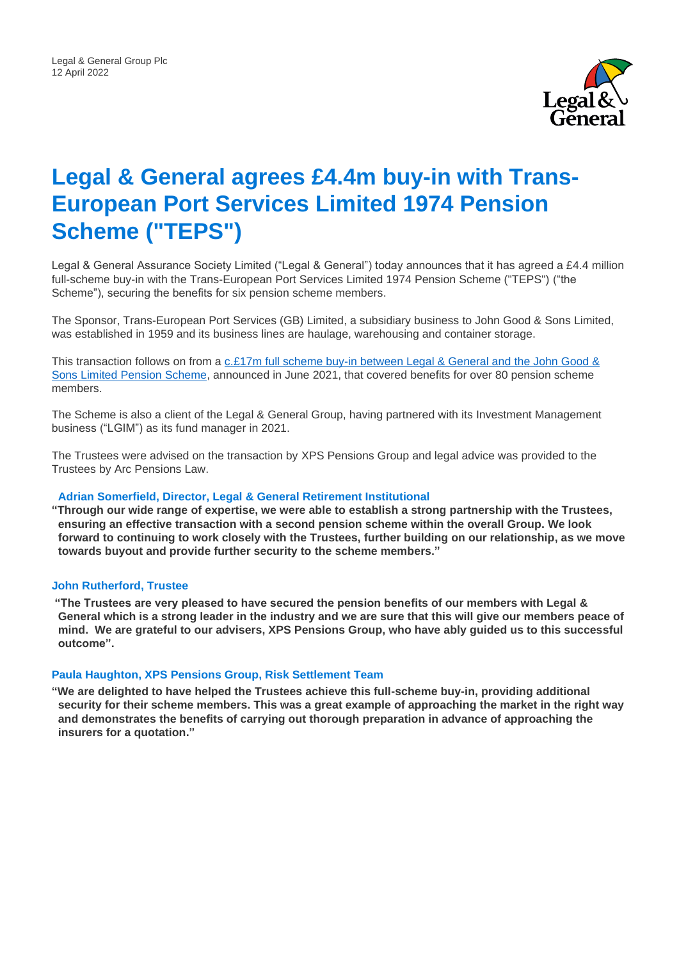

# **Legal & General agrees £4.4m buy-in with Trans-European Port Services Limited 1974 Pension Scheme ("TEPS")**

Legal & General Assurance Society Limited ("Legal & General") today announces that it has agreed a £4.4 million full-scheme buy-in with the Trans-European Port Services Limited 1974 Pension Scheme ("TEPS") ("the Scheme"), securing the benefits for six pension scheme members.

The Sponsor, Trans-European Port Services (GB) Limited, a subsidiary business to John Good & Sons Limited, was established in 1959 and its business lines are haulage, warehousing and container storage.

This transaction follows on from a c.£17m [full scheme buy-in between Legal & General and](https://legalandgeneralgroup.com/newsroom/press-releases/legal-general-announces-c-17m-bulk-annuity-with-john-good-sons-limited-pension-scheme) the John Good & [Sons Limited Pension Scheme,](https://legalandgeneralgroup.com/newsroom/press-releases/legal-general-announces-c-17m-bulk-annuity-with-john-good-sons-limited-pension-scheme) announced in June 2021, that covered benefits for over 80 pension scheme members.

The Scheme is also a client of the Legal & General Group, having partnered with its Investment Management business ("LGIM") as its fund manager in 2021.

The Trustees were advised on the transaction by XPS Pensions Group and legal advice was provided to the Trustees by Arc Pensions Law.

#### **Adrian Somerfield, Director, Legal & General Retirement Institutional**

**"Through our wide range of expertise, we were able to establish a strong partnership with the Trustees, ensuring an effective transaction with a second pension scheme within the overall Group. We look forward to continuing to work closely with the Trustees, further building on our relationship, as we move towards buyout and provide further security to the scheme members."**

#### **John Rutherford, Trustee**

**"The Trustees are very pleased to have secured the pension benefits of our members with Legal & General which is a strong leader in the industry and we are sure that this will give our members peace of mind. We are grateful to our advisers, XPS Pensions Group, who have ably guided us to this successful outcome".**

### **Paula Haughton, XPS Pensions Group, Risk Settlement Team**

**"We are delighted to have helped the Trustees achieve this full-scheme buy-in, providing additional security for their scheme members. This was a great example of approaching the market in the right way and demonstrates the benefits of carrying out thorough preparation in advance of approaching the insurers for a quotation."**